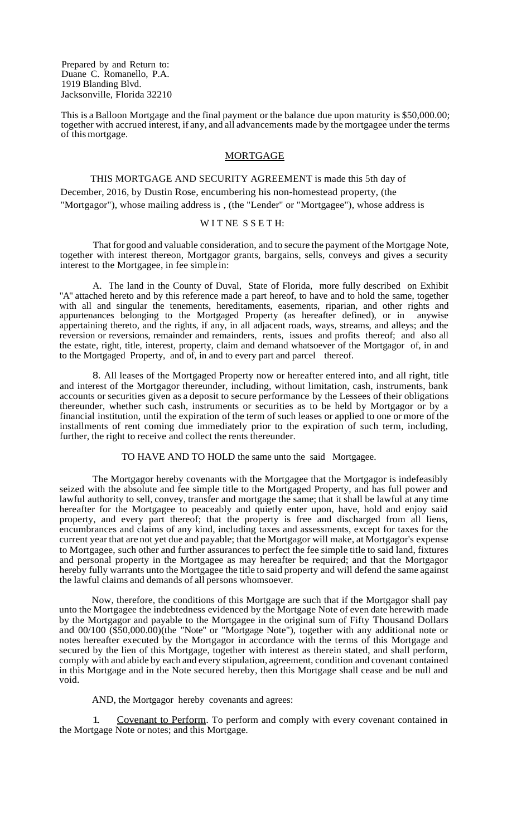Prepared by and Return to: Duane C. Romanello, P.A. 1919 Blanding Blvd. Jacksonville, Florida 32210

This is a Balloon Mortgage and the final payment or the balance due upon maturity is \$50,000.00; together with accrued interest, if any, and all advancements made by the mortgagee under the terms of thismortgage.

#### MORTGAGE

THIS MORTGAGE AND SECURITY AGREEMENT is made this 5th day of December, 2016, by Dustin Rose, encumbering his non-homestead property, (the "Mortgagor"), whose mailing address is , (the "Lender" or "Mortgagee"), whose address is

### WITNE SSETH:

That for good and valuable consideration, and to secure the payment ofthe Mortgage Note, together with interest thereon, Mortgagor grants, bargains, sells, conveys and gives a security interest to the Mortgagee, in fee simple in:

A. The land in the County of Duval, State of Florida, more fully described on Exhibit "A" attached hereto and by this reference made a part hereof, to have and to hold the same, together with all and singular the tenements, hereditaments, easements, riparian, and other rights and appurtenances belonging to the Mortgaged Property (as hereafter defined), or in anywise appertaining thereto, and the rights, if any, in all adjacent roads, ways, streams, and alleys; and the reversion or reversions, remainder and remainders, rents, issues and profits thereof; and also all the estate, right, title, interest, property, claim and demand whatsoever of the Mortgagor of, in and to the Mortgaged Property, and of, in and to every part and parcel thereof.

8. All leases of the Mortgaged Property now or hereafter entered into, and all right, title and interest of the Mortgagor thereunder, including, without limitation, cash, instruments, bank accounts or securities given as a deposit to secure performance by the Lessees of their obligations thereunder, whether such cash, instruments or securities as to be held by Mortgagor or by a financial institution, until the expiration of the term of such leases or applied to one or more of the installments of rent coming due immediately prior to the expiration of such term, including, further, the right to receive and collect the rents thereunder.

# TO HAVE AND TO HOLD the same unto the said Mortgagee.

The Mortgagor hereby covenants with the Mortgagee that the Mortgagor is indefeasibly seized with the absolute and fee simple title to the Mortgaged Property, and has full power and lawful authority to sell, convey, transfer and mortgage the same; that it shall be lawful at any time hereafter for the Mortgagee to peaceably and quietly enter upon, have, hold and enjoy said property, and every part thereof; that the property is free and discharged from all liens, encumbrances and claims of any kind, including taxes and assessments, except for taxes for the current year that are not yet due and payable; that the Mortgagor will make, at Mortgagor's expense to Mortgagee, such other and further assurances to perfect the fee simple title to said land, fixtures and personal property in the Mortgagee as may hereafter be required; and that the Mortgagor hereby fully warrants unto the Mortgagee the title to said property and will defend the same against the lawful claims and demands of all persons whomsoever.

Now, therefore, the conditions of this Mortgage are such that if the Mortgagor shall pay unto the Mortgagee the indebtedness evidenced by the Mortgage Note of even date herewith made by the Mortgagor and payable to the Mortgagee in the original sum of Fifty Thousand Dollars and 00/100 (\$50,000.00)(the "Note" or "Mortgage Note"), together with any additional note or notes hereafter executed by the Mortgagor in accordance with the terms of this Mortgage and secured by the lien of this Mortgage, together with interest as therein stated, and shall perform, comply with and abide by each and every stipulation, agreement, condition and covenant contained in this Mortgage and in the Note secured hereby, then this Mortgage shall cease and be null and void.

### AND, the Mortgagor hereby covenants and agrees:

1. Covenant to Perform. To perform and comply with every covenant contained in the Mortgage Note or notes; and this Mortgage.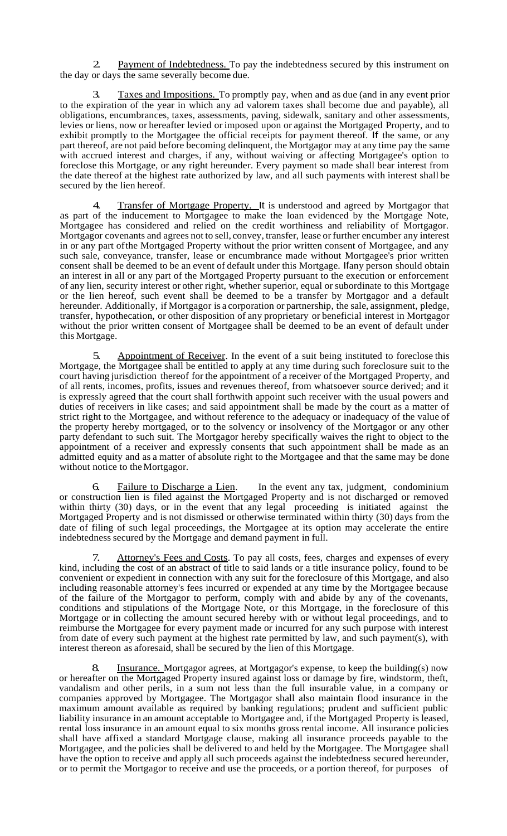2. Payment of Indebtedness. To pay the indebtedness secured by this instrument on the day or days the same severally become due.

Taxes and Impositions. To promptly pay, when and as due (and in any event prior to the expiration of the year in which any ad valorem taxes shall become due and payable), all obligations, encumbrances, taxes, assessments, paving, sidewalk, sanitary and other assessments, levies or liens, now or hereafter levied or imposed upon or against the Mortgaged Property, and to exhibit promptly to the Mortgagee the official receipts for payment thereof. If the same, or any part thereof, are not paid before becoming delinquent, the Mortgagor may at any time pay the same with accrued interest and charges, if any, without waiving or affecting Mortgagee's option to foreclose this Mortgage, or any right hereunder. Every payment so made shall bear interest from the date thereof at the highest rate authorized by law, and all such payments with interest shall be secured by the lien hereof.

Transfer of Mortgage Property. It is understood and agreed by Mortgagor that as part of the inducement to Mortgagee to make the loan evidenced by the Mortgage Note, Mortgagee has considered and relied on the credit worthiness and reliability of Mortgagor. Mortgagor covenants and agrees not to sell, convey, transfer, lease or further encumber any interest in or any part ofthe Mortgaged Property without the prior written consent of Mortgagee, and any such sale, conveyance, transfer, lease or encumbrance made without Mortgagee's prior written consent shall be deemed to be an event of default under this Mortgage. Ifany person should obtain an interest in all or any part of the Mortgaged Property pursuant to the execution or enforcement of any lien, security interest or other right, whether superior, equal or subordinate to this Mortgage or the lien hereof, such event shall be deemed to be a transfer by Mortgagor and a default hereunder. Additionally, if Mortgagor is a corporation or partnership, the sale, assignment, pledge, transfer, hypothecation, or other disposition of any proprietary or beneficial interest in Mortgagor without the prior written consent of Mortgagee shall be deemed to be an event of default under this Mortgage.

Appointment of Receiver. In the event of a suit being instituted to foreclose this Mortgage, the Mortgagee shall be entitled to apply at any time during such foreclosure suit to the court having jurisdiction thereof for the appointment of a receiver of the Mortgaged Property, and of all rents, incomes, profits, issues and revenues thereof, from whatsoever source derived; and it is expressly agreed that the court shall forthwith appoint such receiver with the usual powers and duties of receivers in like cases; and said appointment shall be made by the court as a matter of strict right to the Mortgagee, and without reference to the adequacy or inadequacy of the value of the property hereby mortgaged, or to the solvency or insolvency of the Mortgagor or any other party defendant to such suit. The Mortgagor hereby specifically waives the right to object to the appointment of a receiver and expressly consents that such appointment shall be made as an admitted equity and as a matter of absolute right to the Mortgagee and that the same may be done without notice to theMortgagor.

Failure to Discharge a Lien. In the event any tax, judgment, condominium or construction lien is filed against the Mortgaged Property and is not discharged or removed within thirty (30) days, or in the event that any legal proceeding is initiated against the Mortgaged Property and is not dismissed or otherwise terminated within thirty (30) days from the date of filing of such legal proceedings, the Mortgagee at its option may accelerate the entire indebtedness secured by the Mortgage and demand payment in full.

Attorney's Fees and Costs</u>. To pay all costs, fees, charges and expenses of every kind, including the cost of an abstract of title to said lands or a title insurance policy, found to be convenient or expedient in connection with any suit for the foreclosure of this Mortgage, and also including reasonable attorney's fees incurred or expended at any time by the Mortgagee because of the failure of the Mortgagor to perform, comply with and abide by any of the covenants, conditions and stipulations of the Mortgage Note, or this Mortgage, in the foreclosure of this Mortgage or in collecting the amount secured hereby with or without legal proceedings, and to reimburse the Mortgagee for every payment made or incurred for any such purpose with interest from date of every such payment at the highest rate permitted by law, and such payment(s), with interest thereon as aforesaid, shall be secured by the lien of this Mortgage.

8. Insurance. Mortgagor agrees, at Mortgagor's expense, to keep the building(s) now or hereafter on the Mortgaged Property insured against loss or damage by fire, windstorm, theft, vandalism and other perils, in a sum not less than the full insurable value, in a company or companies approved by Mortgagee. The Mortgagor shall also maintain flood insurance in the maximum amount available as required by banking regulations; prudent and sufficient public liability insurance in an amount acceptable to Mortgagee and, if the Mortgaged Property is leased, rental loss insurance in an amount equal to six months gross rental income. All insurance policies shall have affixed a standard Mortgage clause, making all insurance proceeds payable to the Mortgagee, and the policies shall be delivered to and held by the Mortgagee. The Mortgagee shall have the option to receive and apply all such proceeds against the indebtedness secured hereunder, or to permit the Mortgagor to receive and use the proceeds, or a portion thereof, for purposes of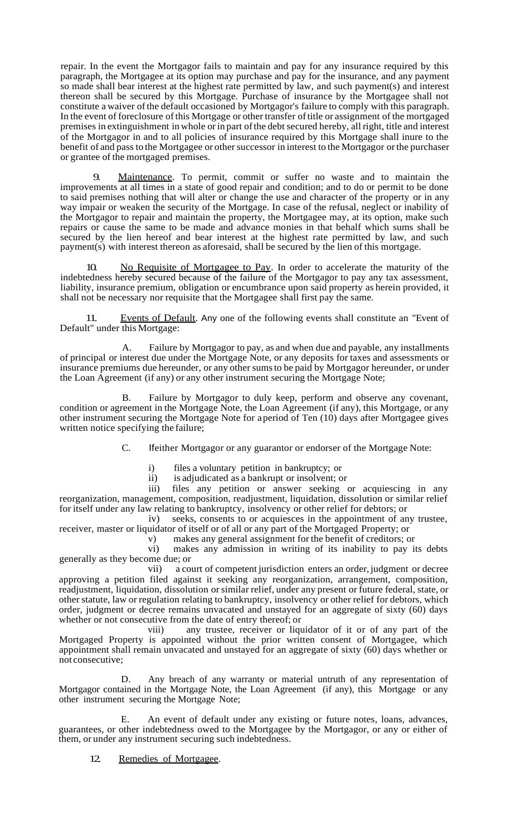repair. In the event the Mortgagor fails to maintain and pay for any insurance required by this paragraph, the Mortgagee at its option may purchase and pay for the insurance, and any payment so made shall bear interest at the highest rate permitted by law, and such payment(s) and interest thereon shall be secured by this Mortgage. Purchase of insurance by the Mortgagee shall not constitute a waiver ofthe default occasioned by Mortgagor's failure to comply with this paragraph. In the event of foreclosure of this Mortgage or other transfer of title or assignment of the mortgaged premises in extinguishment in whole or in part of the debt secured hereby, all right, title and interest of the Mortgagor in and to all policies of insurance required by this Mortgage shall inure to the benefit of and pass to the Mortgagee or other successor in interest to the Mortgagor or the purchaser or grantee of the mortgaged premises.

Maintenance. To permit, commit or suffer no waste and to maintain the improvements at all times in a state of good repair and condition; and to do or permit to be done to said premises nothing that will alter or change the use and character of the property or in any way impair or weaken the security of the Mortgage. In case of the refusal, neglect or inability of the Mortgagor to repair and maintain the property, the Mortgagee may, at its option, make such repairs or cause the same to be made and advance monies in that behalf which sums shall be secured by the lien hereof and bear interest at the highest rate permitted by law, and such payment(s) with interest thereon as aforesaid, shall be secured by the lien of this mortgage.

No Requisite of Mortgagee to Pay. In order to accelerate the maturity of the indebtedness hereby secured because of the failure of the Mortgagor to pay any tax assessment, liability, insurance premium, obligation or encumbrance upon said property as herein provided, it shall not be necessary nor requisite that the Mortgagee shall first pay the same.

11. Events of Default. Any one of the following events shall constitute an "Event of Default" under this Mortgage:

A. Failure by Mortgagor to pay, as and when due and payable, any installments of principal or interest due under the Mortgage Note, or any deposits for taxes and assessments or insurance premiums due hereunder, or any other sums to be paid by Mortgagor hereunder, or under the Loan Agreement (if any) or any other instrument securing the Mortgage Note;

B. Failure by Mortgagor to duly keep, perform and observe any covenant, condition or agreement in the Mortgage Note, the Loan Agreement (if any), this Mortgage, or any other instrument securing the Mortgage Note for aperiod of Ten (10) days after Mortgagee gives written notice specifying the failure;

C. Ifeither Mortgagor or any guarantor or endorser of the Mortgage Note:

i) files a voluntary petition in bankruptcy; or

ii) is adjudicated as a bankrupt or insolvent; or

iii) files any petition or answer seeking or acquiescing in any reorganization, management, composition, readjustment, liquidation, dissolution or similar relief for itself under any law relating to bankruptcy, insolvency or other relief for debtors; or

iv) seeks, consents to or acquiesces in the appointment of any trustee, receiver, master or liquidator of itself or of all or any part of the Mortgaged Property; or

v) makes any general assignment for the benefit of creditors; or

vi) makes any admission in writing of its inability to pay its debts generally as they become due; or

vii) a court of competent jurisdiction enters an order, judgment or decree approving a petition filed against it seeking any reorganization, arrangement, composition, readjustment, liquidation, dissolution orsimilar relief, under any present or future federal, state, or other statute, law or regulation relating to bankruptcy, insolvency or other relief for debtors, which order, judgment or decree remains unvacated and unstayed for an aggregate of sixty (60) days whether or not consecutive from the date of entry thereof; or

viii) any trustee, receiver or liquidator of it or of any part of the Mortgaged Property is appointed without the prior written consent of Mortgagee, which appointment shall remain unvacated and unstayed for an aggregate of sixty (60) days whether or not consecutive;

D. Any breach of any warranty or material untruth of any representation of Mortgagor contained in the Mortgage Note, the Loan Agreement (if any), this Mortgage or any other instrument securing the Mortgage Note;

E. An event of default under any existing or future notes, loans, advances, guarantees, or other indebtedness owed to the Mortgagee by the Mortgagor, or any or either of them, or under any instrument securing such indebtedness.

12. Remedies of Mortgagee.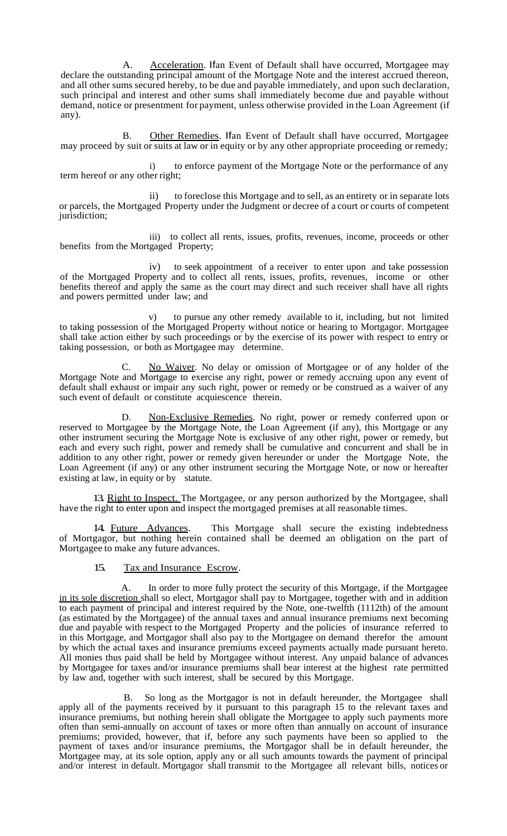A. Acceleration. Ifan Event of Default shall have occurred, Mortgagee may declare the outstanding principal amount of the Mortgage Note and the interest accrued thereon, and all other sums secured hereby, to be due and payable immediately, and upon such declaration, such principal and interest and other sums shall immediately become due and payable without demand, notice or presentment for payment, unless otherwise provided in the Loan Agreement (if any).

B. Other Remedies. Ifan Event of Default shall have occurred, Mortgagee may proceed by suit or suits at law or in equity or by any other appropriate proceeding or remedy;

i) to enforce payment of the Mortgage Note or the performance of any term hereof or any other right;

ii) to foreclose this Mortgage and to sell, as an entirety or in separate lots or parcels, the Mortgaged Property under the Judgment or decree of a court or courts of competent jurisdiction;

iii) to collect all rents, issues, profits, revenues, income, proceeds or other benefits from the Mortgaged Property;

iv) to seek appointment of a receiver to enter upon and take possession of the Mortgaged Property and to collect all rents, issues, profits, revenues, income or other benefits thereof and apply the same as the court may direct and such receiver shall have all rights and powers permitted under law; and

to pursue any other remedy available to it, including, but not limited to taking possession of the Mortgaged Property without notice or hearing to Mortgagor. Mortgagee shall take action either by such proceedings or by the exercise of its power with respect to entry or taking possession, or both as Mortgagee may determine.

C. No Waiver. No delay or omission of Mortgagee or of any holder of the Mortgage Note and Mortgage to exercise any right, power or remedy accruing upon any event of default shall exhaust or impair any such right, power or remedy or be construed as a waiver of any such event of default or constitute acquiescence therein.

D. Non-Exclusive Remedies. No right, power or remedy conferred upon or reserved to Mortgagee by the Mortgage Note, the Loan Agreement (if any), this Mortgage or any other instrument securing the Mortgage Note is exclusive of any other right, power or remedy, but each and every such right, power and remedy shall be cumulative and concurrent and shall be in addition to any other right, power or remedy given hereunder or under the Mortgage Note, the Loan Agreement (if any) or any other instrument securing the Mortgage Note, or now or hereafter existing at law, in equity or by statute.

13. Right to Inspect. The Mortgagee, or any person authorized by the Mortgagee, shall have the right to enter upon and inspect the mortgaged premises at all reasonable times.

14. Future Advances. This Mortgage shall secure the existing indebtedness of Mortgagor, but nothing herein contained shall be deemed an obligation on the part of Mortgagee to make any future advances.

## 15. Tax and Insurance Escrow.

A. In order to more fully protect the security of this Mortgage, if the Mortgagee in its sole discretion shall so elect, Mortgagor shall pay to Mortgagee, together with and in addition to each payment of principal and interest required by the Note, one-twelfth (1112th) of the amount (as estimated by the Mortgagee) of the annual taxes and annual insurance premiums next becoming due and payable with respect to the Mortgaged Property and the policies of insurance referred to in this Mortgage, and Mortgagor shall also pay to the Mortgagee on demand therefor the amount by which the actual taxes and insurance premiums exceed payments actually made pursuant hereto. All monies thus paid shall be held by Mortgagee without interest. Any unpaid balance of advances by Mortgagee for taxes and/or insurance premiums shall bear interest at the highest rate permitted by law and, together with such interest, shall be secured by this Mortgage.

B. So long as the Mortgagor is not in default hereunder, the Mortgagee shall apply all of the payments received by it pursuant to this paragraph 15 to the relevant taxes and insurance premiums, but nothing herein shall obligate the Mortgagee to apply such payments more often than semi-annually on account of taxes or more often than annually on account of insurance premiums; provided, however, that if, before any such payments have been so applied to the payment of taxes and/or insurance premiums, the Mortgagor shall be in default hereunder, the Mortgagee may, at its sole option, apply any or all such amounts towards the payment of principal and/or interest in default. Mortgagor shall transmit to the Mortgagee all relevant bills, notices or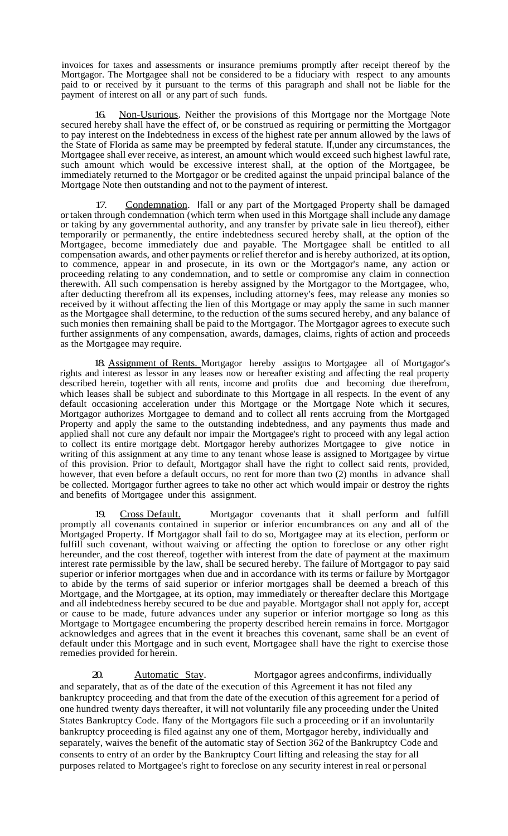invoices for taxes and assessments or insurance premiums promptly after receipt thereof by the Mortgagor. The Mortgagee shall not be considered to be a fiduciary with respect to any amounts paid to or received by it pursuant to the terms of this paragraph and shall not be liable for the payment of interest on all or any part of such funds.

16. Non-Usurious. Neither the provisions of this Mortgage nor the Mortgage Note secured hereby shall have the effect of, or be construed as requiring or permitting the Mortgagor to pay interest on the Indebtedness in excess of the highest rate per annum allowed by the laws of the State of Florida as same may be preempted by federal statute. If,under any circumstances, the Mortgagee shall ever receive, asinterest, an amount which would exceed such highest lawful rate, such amount which would be excessive interest shall, at the option of the Mortgagee, be immediately returned to the Mortgagor or be credited against the unpaid principal balance of the Mortgage Note then outstanding and not to the payment of interest.

17. Condemnation. Ifall or any part of the Mortgaged Property shall be damaged or taken through condemnation (which term when used in this Mortgage shall include any damage or taking by any governmental authority, and any transfer by private sale in lieu thereof), either temporarily or permanently, the entire indebtedness secured hereby shall, at the option of the Mortgagee, become immediately due and payable. The Mortgagee shall be entitled to all compensation awards, and other payments or relief therefor and is hereby authorized, at its option, to commence, appear in and prosecute, in its own or the Mortgagor's name, any action or proceeding relating to any condemnation, and to settle or compromise any claim in connection therewith. All such compensation is hereby assigned by the Mortgagor to the Mortgagee, who, after deducting therefrom all its expenses, including attorney's fees, may release any monies so received by it without affecting the lien of this Mortgage or may apply the same in such manner asthe Mortgagee shall determine, to the reduction of the sums secured hereby, and any balance of such monies then remaining shall be paid to the Mortgagor. The Mortgagor agrees to execute such further assignments of any compensation, awards, damages, claims, rights of action and proceeds as the Mortgagee may require.

18. Assignment of Rents. Mortgagor hereby assigns to Mortgagee all of Mortgagor's rights and interest as lessor in any leases now or hereafter existing and affecting the real property described herein, together with all rents, income and profits due and becoming due therefrom, which leases shall be subject and subordinate to this Mortgage in all respects. In the event of any default occasioning acceleration under this Mortgage or the Mortgage Note which it secures, Mortgagor authorizes Mortgagee to demand and to collect all rents accruing from the Mortgaged Property and apply the same to the outstanding indebtedness, and any payments thus made and applied shall not cure any default nor impair the Mortgagee's right to proceed with any legal action to collect its entire mortgage debt. Mortgagor hereby authorizes Mortgagee to give notice in writing of this assignment at any time to any tenant whose lease is assigned to Mortgagee by virtue of this provision. Prior to default, Mortgagor shall have the right to collect said rents, provided, however, that even before a default occurs, no rent for more than two (2) months in advance shall be collected. Mortgagor further agrees to take no other act which would impair or destroy the rights and benefits of Mortgagee under this assignment.

19. Cross Default. Mortgagor covenants that it shall perform and fulfill promptly all covenants contained in superior or inferior encumbrances on any and all of the Mortgaged Property. If Mortgagor shall fail to do so, Mortgagee may at its election, perform or fulfill such covenant, without waiving or affecting the option to foreclose or any other right hereunder, and the cost thereof, together with interest from the date of payment at the maximum interest rate permissible by the law, shall be secured hereby. The failure of Mortgagor to pay said superior or inferior mortgages when due and in accordance with its terms or failure by Mortgagor to abide by the terms of said superior or inferior mortgages shall be deemed a breach of this Mortgage, and the Mortgagee, at its option, may immediately or thereafter declare this Mortgage and all indebtedness hereby secured to be due and payable. Mortgagor shall not apply for, accept or cause to be made, future advances under any superior or inferior mortgage so long as this Mortgage to Mortgagee encumbering the property described herein remains in force. Mortgagor acknowledges and agrees that in the event it breaches this covenant, same shall be an event of default under this Mortgage and in such event, Mortgagee shall have the right to exercise those remedies provided for herein.

20. Automatic Stay. Mortgagor agrees and confirms, individually and separately, that as of the date of the execution of this Agreement it has not filed any bankruptcy proceeding and that from the date of the execution of this agreement for a period of one hundred twenty days thereafter, it will not voluntarily file any proceeding under the United States Bankruptcy Code. Ifany of the Mortgagors file such a proceeding or if an involuntarily bankruptcy proceeding is filed against any one of them, Mortgagor hereby, individually and separately, waives the benefit of the automatic stay of Section 362 of the Bankruptcy Code and consents to entry of an order by the Bankruptcy Court lifting and releasing the stay for all purposes related to Mortgagee's right to foreclose on any security interest in real or personal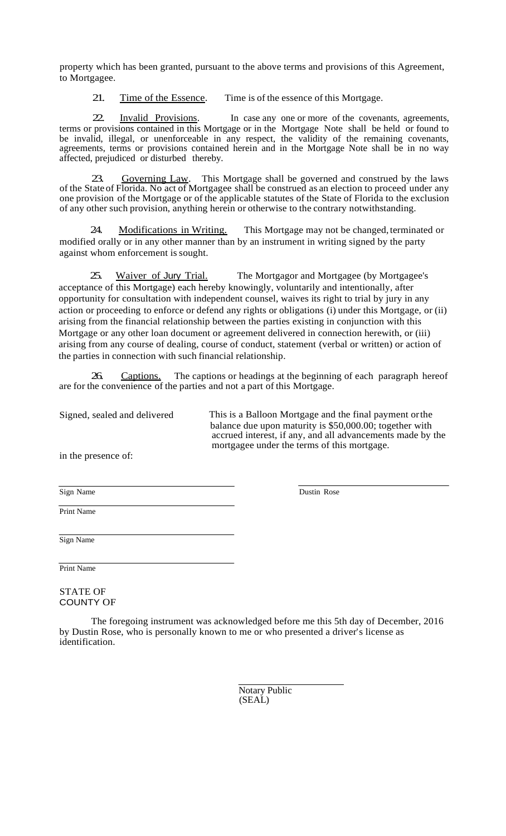property which has been granted, pursuant to the above terms and provisions of this Agreement, to Mortgagee.

21. Time of the Essence. Time is of the essence of this Mortgage.

22. Invalid Provisions. In case any one or more of the covenants, agreements, terms or provisions contained in this Mortgage or in the Mortgage Note shall be held or found to be invalid, illegal, or unenforceable in any respect, the validity of the remaining covenants, agreements, terms or provisions contained herein and in the Mortgage Note shall be in no way affected, prejudiced or disturbed thereby.

Governing Law. This Mortgage shall be governed and construed by the laws of the State of Florida. No act of Mortgagee shall be construed as an election to proceed under any one provision of the Mortgage or of the applicable statutes of the State of Florida to the exclusion of any other such provision, anything herein or otherwise to the contrary notwithstanding.

24. Modifications in Writing. This Mortgage may not be changed, terminated or modified orally or in any other manner than by an instrument in writing signed by the party against whom enforcement is sought.

25. Waiver of Jury Trial. The Mortgagor and Mortgagee (by Mortgagee's acceptance of this Mortgage) each hereby knowingly, voluntarily and intentionally, after opportunity for consultation with independent counsel, waives its right to trial by jury in any action or proceeding to enforce or defend any rights or obligations (i) under this Mortgage, or (ii) arising from the financial relationship between the parties existing in conjunction with this Mortgage or any other loan document or agreement delivered in connection herewith, or (iii) arising from any course of dealing, course of conduct, statement (verbal or written) or action of the parties in connection with such financial relationship.

26. Captions. The captions or headings at the beginning of each paragraph hereof are for the convenience of the parties and not a part of this Mortgage.

Signed, sealed and delivered This is a Balloon Mortgage and the final payment orthe balance due upon maturity is \$50,000.00; together with accrued interest, if any, and all advancements made by the mortgagee under the terms of this mortgage.

in the presence of:

Sign Name Dustin Rose

Print Name

Sign Name

Print Name

STATE OF COUNTY OF

The foregoing instrument was acknowledged before me this 5th day of December, 2016 by Dustin Rose, who is personally known to me or who presented a driver's license as identification.

> Notary Public (SEAL)